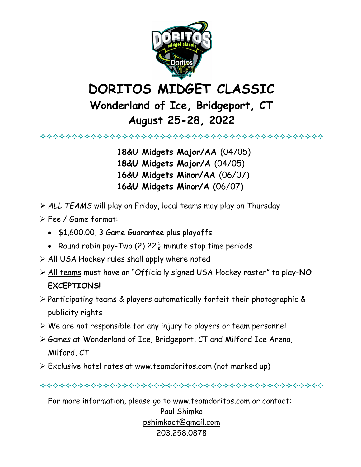

## DORITOS MIDGET CLASSIC

## Wonderland of Ice, Bridgeport, CT August 25-28, 2022

 18&U Midgets Major/AA (04/05) 18&U Midgets Major/A (04/05) 16&U Midgets Minor/AA (06/07) 16&U Midgets Minor/A (06/07)

- ALL TEAMS will play on Friday, local teams may play on Thursday
- Fee / Game format:
	- \$1,600.00, 3 Game Guarantee plus playoffs
	- Round robin pay-Two (2)  $22\frac{1}{2}$  minute stop time periods
- $\triangleright$  All USA Hockey rules shall apply where noted
- All teams must have an "Officially signed USA Hockey roster" to play-NO EXCEPTIONS!
- $\triangleright$  Participating teams & players automatically forfeit their photographic & publicity rights
- We are not responsible for any injury to players or team personnel
- Games at Wonderland of Ice, Bridgeport, CT and Milford Ice Arena, Milford, CT
- Exclusive hotel rates at www.teamdoritos.com (not marked up)
- 

For more information, please go to www.teamdoritos.com or contact:

Paul Shimko pshimkoct@gmail.com 203.258.0878